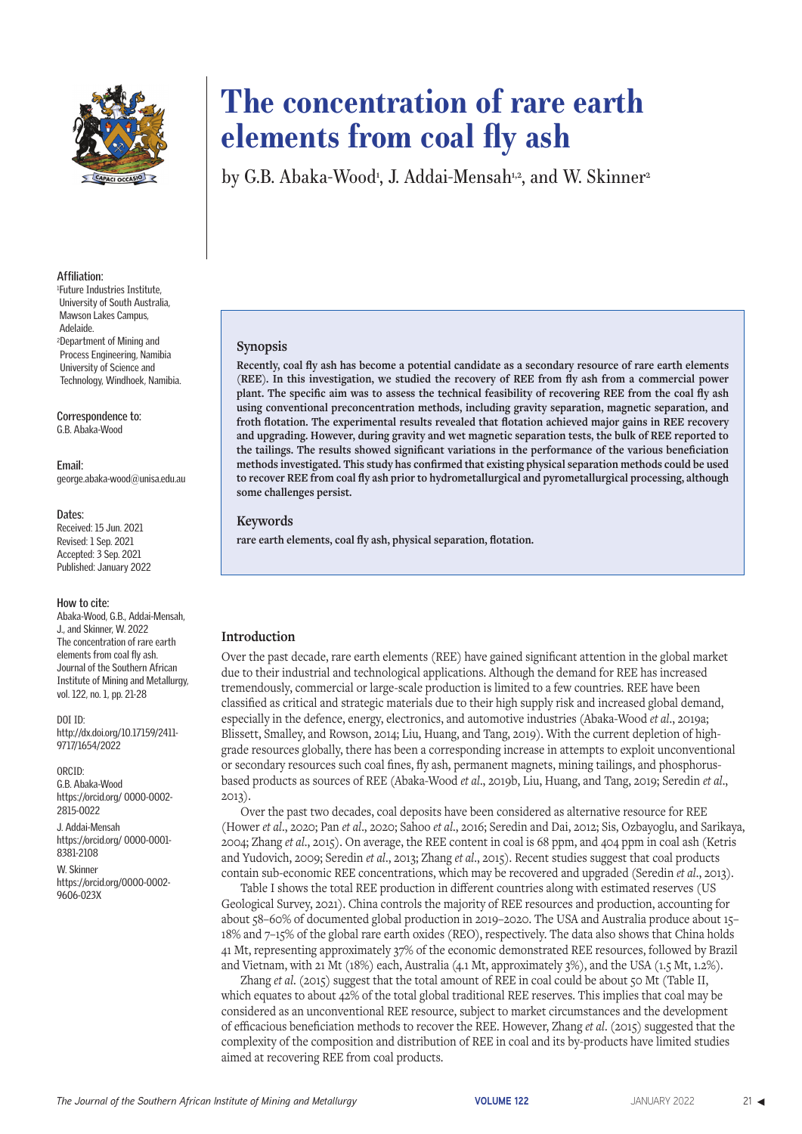

#### **Affiliation:**

1 Future Industries Institute, University of South Australia, Mawson Lakes Campus, Adelaide. 2Department of Mining and Process Engineering, Namibia University of Science and Technology, Windhoek, Namibia.

**Correspondence to:** G.B. Abaka-Wood

**Email:** george.abaka-wood@unisa.edu.au

#### **Dates:**

Received: 15 Jun. 2021 Revised: 1 Sep. 2021 Accepted: 3 Sep. 2021 Published: January 2022

#### **How to cite:**

Abaka-Wood, G.B., Addai-Mensah, J., and Skinner, W. 2022 The concentration of rare earth elements from coal fly ash. Journal of the Southern African Institute of Mining and Metallurgy, vol. 122, no. 1, pp. 21-28

#### DOI ID:

http://dx.doi.org/10.17159/2411- 9717/1654/2022

ORCID: G.B. Abaka-Wood https://orcid.org/ 0000-0002- 2815-0022

J. Addai-Mensah https://orcid.org/ 0000-0001- 8381-2108

W. Skinner https://orcid.org/0000-0002- 9606-023X

# **The concentration of rare earth elements from coal fly ash**

by G.B. Abaka-Wood<sup>1</sup>, J. Addai-Mensah12, and W. Skinner<sup>2</sup>

#### **Synopsis**

**Recently, coal fly ash has become a potential candidate as a secondary resource of rare earth elements (REE). In this investigation, we studied the recovery of REE from fly ash from a commercial power plant. The specific aim was to assess the technical feasibility of recovering REE from the coal fly ash using conventional preconcentration methods, including gravity separation, magnetic separation, and froth flotation. The experimental results revealed that flotation achieved major gains in REE recovery and upgrading. However, during gravity and wet magnetic separation tests, the bulk of REE reported to the tailings. The results showed significant variations in the performance of the various beneficiation methods investigated. This study has confirmed that existing physical separation methods could be used to recover REE from coal fly ash prior to hydrometallurgical and pyrometallurgical processing, although some challenges persist.**

#### **Keywords**

**rare earth elements, coal fly ash, physical separation, flotation.**

#### **Introduction**

Over the past decade, rare earth elements (REE) have gained significant attention in the global market due to their industrial and technological applications. Although the demand for REE has increased tremendously, commercial or large-scale production is limited to a few countries. REE have been classified as critical and strategic materials due to their high supply risk and increased global demand, especially in the defence, energy, electronics, and automotive industries (Abaka-Wood *et al*., 2019a; Blissett, Smalley, and Rowson, 2014; Liu, Huang, and Tang, 2019). With the current depletion of highgrade resources globally, there has been a corresponding increase in attempts to exploit unconventional or secondary resources such coal fines, fly ash, permanent magnets, mining tailings, and phosphorusbased products as sources of REE (Abaka-Wood *et al*., 2019b, Liu, Huang, and Tang, 2019; Seredin *et al*., 2013).

Over the past two decades, coal deposits have been considered as alternative resource for REE (Hower *et al*., 2020; Pan *et al*., 2020; Sahoo *et al*., 2016; Seredin and Dai, 2012; Sis, Ozbayoglu, and Sarikaya, 2004; Zhang *et al*., 2015). On average, the REE content in coal is 68 ppm, and 404 ppm in coal ash (Ketris and Yudovich, 2009; Seredin *et al*., 2013; Zhang *et al*., 2015). Recent studies suggest that coal products contain sub-economic REE concentrations, which may be recovered and upgraded (Seredin *et al*., 2013).

Table I shows the total REE production in different countries along with estimated reserves (US Geological Survey, 2021). China controls the majority of REE resources and production, accounting for about 58–60% of documented global production in 2019–2020. The USA and Australia produce about 15– 18% and 7–15% of the global rare earth oxides (REO), respectively. The data also shows that China holds 41 Mt, representing approximately 37% of the economic demonstrated REE resources, followed by Brazil and Vietnam, with 21 Mt (18%) each, Australia (4.1 Mt, approximately 3%), and the USA (1.5 Mt, 1.2%).

Zhang *et al*. (2015) suggest that the total amount of REE in coal could be about 50 Mt (Table II, which equates to about 42% of the total global traditional REE reserves. This implies that coal may be considered as an unconventional REE resource, subject to market circumstances and the development of efficacious beneficiation methods to recover the REE. However, Zhang *et al*. (2015) suggested that the complexity of the composition and distribution of REE in coal and its by-products have limited studies aimed at recovering REE from coal products.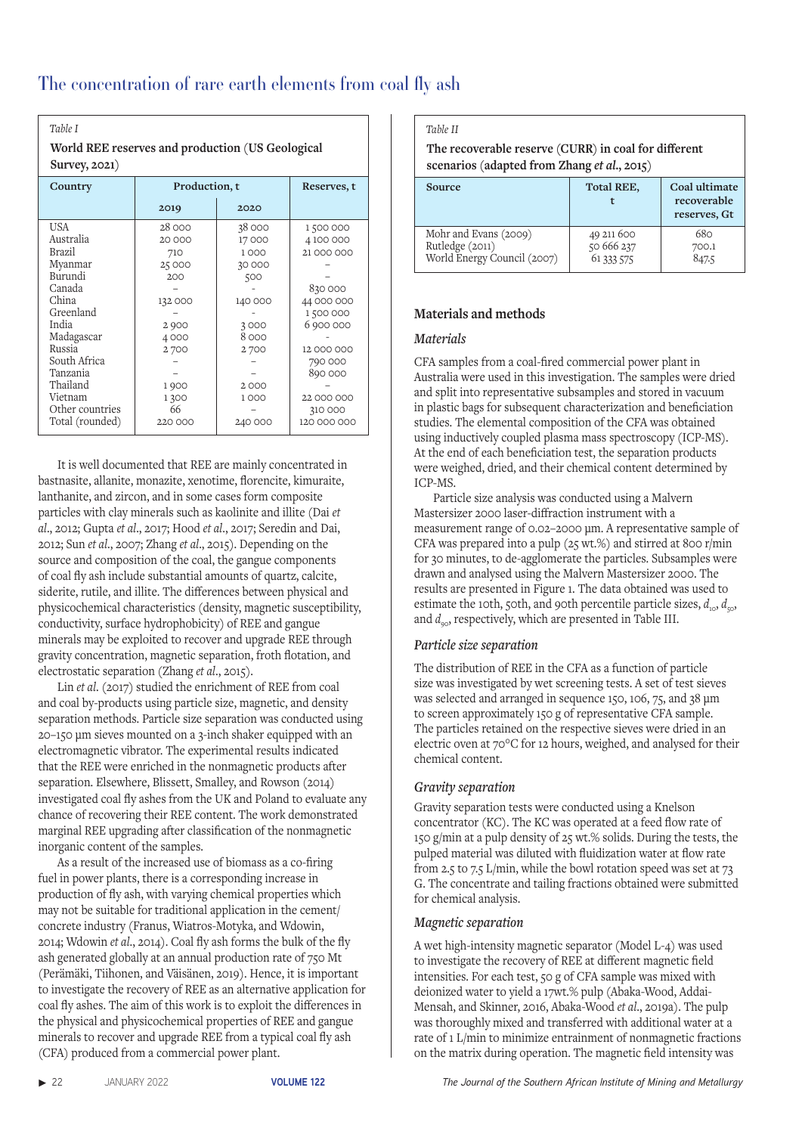### *Table I*

 **World REE reserves and production (US Geological Survey, 2021)**

| Country         | Production, t | Reserves, t |             |
|-----------------|---------------|-------------|-------------|
|                 | 2019          | 2020        |             |
| <b>USA</b>      | 28 000        | 38 000      | 1500000     |
| Australia       | 20 000        | 17000       | 4100000     |
| Brazil          | 710           | 1000        | 21 000 000  |
| Myanmar         | 25 000        | 30 000      |             |
| Burundi         | 200           | 500         |             |
| Canada          |               |             | 830000      |
| China           | 132 000       | 140 000     | 44 000 000  |
| Greenland       |               |             | 1 500 000   |
| India           | 2 9 0 0       | 3000        | 6900000     |
| Madagascar      | 4000          | 8000        |             |
| Russia          | 2700          | 2700        | 12 000 000  |
| South Africa    |               |             | 790 000     |
| Tanzania        |               |             | 890 000     |
| Thailand        | 1900          | 2000        |             |
| Vietnam         | 1300          | 1000        | 22 000 000  |
| Other countries | 66            |             | 310 000     |
| Total (rounded) | 220 000       | 240 000     | 120 000 000 |

It is well documented that REE are mainly concentrated in bastnasite, allanite, monazite, xenotime, florencite, kimuraite, lanthanite, and zircon, and in some cases form composite particles with clay minerals such as kaolinite and illite (Dai *et al*., 2012; Gupta *et al*., 2017; Hood *et al*., 2017; Seredin and Dai, 2012; Sun *et al*., 2007; Zhang *et al*., 2015). Depending on the source and composition of the coal, the gangue components of coal fly ash include substantial amounts of quartz, calcite, siderite, rutile, and illite. The differences between physical and physicochemical characteristics (density, magnetic susceptibility, conductivity, surface hydrophobicity) of REE and gangue minerals may be exploited to recover and upgrade REE through gravity concentration, magnetic separation, froth flotation, and electrostatic separation (Zhang *et al*., 2015).

Lin *et al*. (2017) studied the enrichment of REE from coal and coal by-products using particle size, magnetic, and density separation methods. Particle size separation was conducted using 20–150 μm sieves mounted on a 3-inch shaker equipped with an electromagnetic vibrator. The experimental results indicated that the REE were enriched in the nonmagnetic products after separation. Elsewhere, Blissett, Smalley, and Rowson (2014) investigated coal fly ashes from the UK and Poland to evaluate any chance of recovering their REE content. The work demonstrated marginal REE upgrading after classification of the nonmagnetic inorganic content of the samples.

As a result of the increased use of biomass as a co-firing fuel in power plants, there is a corresponding increase in production of fly ash, with varying chemical properties which may not be suitable for traditional application in the cement/ concrete industry (Franus, Wiatros-Motyka, and Wdowin, 2014; Wdowin *et al*., 2014). Coal fly ash forms the bulk of the fly ash generated globally at an annual production rate of 750 Mt (Perämäki, Tiihonen, and Väisänen, 2019). Hence, it is important to investigate the recovery of REE as an alternative application for coal fly ashes. The aim of this work is to exploit the differences in the physical and physicochemical properties of REE and gangue minerals to recover and upgrade REE from a typical coal fly ash (CFA) produced from a commercial power plant.

# *Table II*

#### **The recoverable reserve (CURR) in coal for different scenarios (adapted from Zhang** *et al***., 2015)**

| Source                                                                  | <b>Total REE,</b>                      | Coal ultimate<br>recoverable<br>reserves, Gt |  |  |
|-------------------------------------------------------------------------|----------------------------------------|----------------------------------------------|--|--|
| Mohr and Evans (2009)<br>Rutledge (2011)<br>World Energy Council (2007) | 49 211 600<br>50 666 237<br>61 333 575 | 680<br>700.1<br>847.5                        |  |  |

# **Materials and methods**

# *Materials*

CFA samples from a coal-fired commercial power plant in Australia were used in this investigation. The samples were dried and split into representative subsamples and stored in vacuum in plastic bags for subsequent characterization and beneficiation studies. The elemental composition of the CFA was obtained using inductively coupled plasma mass spectroscopy (ICP-MS). At the end of each beneficiation test, the separation products were weighed, dried, and their chemical content determined by ICP-MS.

Particle size analysis was conducted using a Malvern Mastersizer 2000 laser-diffraction instrument with a measurement range of 0.02–2000 μm. A representative sample of CFA was prepared into a pulp (25 wt.%) and stirred at 800 r/min for 30 minutes, to de-agglomerate the particles. Subsamples were drawn and analysed using the Malvern Mastersizer 2000. The results are presented in Figure 1. The data obtained was used to estimate the 10th, 50th, and 90th percentile particle sizes,  $d_{10}$ ,  $d_{50}$ and  $d_{\infty}$ , respectively, which are presented in Table III.

# *Particle size separation*

The distribution of REE in the CFA as a function of particle size was investigated by wet screening tests. A set of test sieves was selected and arranged in sequence 150, 106, 75, and 38 µm to screen approximately 150 g of representative CFA sample. The particles retained on the respective sieves were dried in an electric oven at 70°C for 12 hours, weighed, and analysed for their chemical content.

# *Gravity separation*

Gravity separation tests were conducted using a Knelson concentrator (KC). The KC was operated at a feed flow rate of 150 g/min at a pulp density of 25 wt.% solids. During the tests, the pulped material was diluted with fluidization water at flow rate from 2.5 to 7.5 L/min, while the bowl rotation speed was set at 73 G. The concentrate and tailing fractions obtained were submitted for chemical analysis.

# *Magnetic separation*

A wet high-intensity magnetic separator (Model L-4) was used to investigate the recovery of REE at different magnetic field intensities. For each test, 50 g of CFA sample was mixed with deionized water to yield a 17wt.% pulp (Abaka-Wood, Addai-Mensah, and Skinner, 2016, Abaka-Wood *et al*., 2019a). The pulp was thoroughly mixed and transferred with additional water at a rate of 1 L/min to minimize entrainment of nonmagnetic fractions on the matrix during operation. The magnetic field intensity was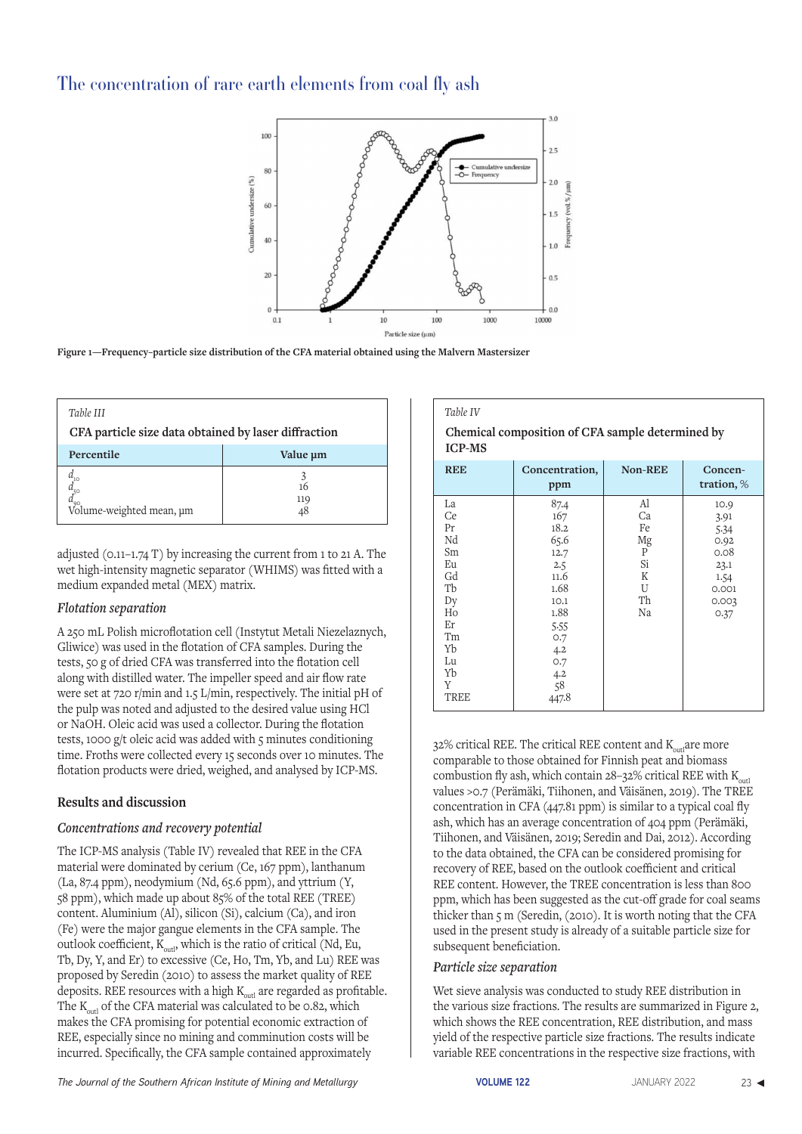

**Figure 1—Frequency–particle size distribution of the CFA material obtained using the Malvern Mastersizer**

| Table III<br>CFA particle size data obtained by laser diffraction |           |  |  |
|-------------------------------------------------------------------|-----------|--|--|
| Percentile                                                        | Value um  |  |  |
| $u_{90}$<br>Volume-weighted mean, um                              | 16<br>119 |  |  |

adjusted (0.11–1.74 T) by increasing the current from 1 to 21 A. The wet high-intensity magnetic separator (WHIMS) was fitted with a medium expanded metal (MEX) matrix.

# *Flotation separation*

A 250 mL Polish microflotation cell (Instytut Metali Niezelaznych, Gliwice) was used in the flotation of CFA samples. During the tests, 50 g of dried CFA was transferred into the flotation cell along with distilled water. The impeller speed and air flow rate were set at 720 r/min and 1.5 L/min, respectively. The initial pH of the pulp was noted and adjusted to the desired value using HCl or NaOH. Oleic acid was used a collector. During the flotation tests, 1000 g/t oleic acid was added with 5 minutes conditioning time. Froths were collected every 15 seconds over 10 minutes. The flotation products were dried, weighed, and analysed by ICP-MS.

# **Results and discussion**

# *Concentrations and recovery potential*

The ICP-MS analysis (Table IV) revealed that REE in the CFA material were dominated by cerium (Ce, 167 ppm), lanthanum (La, 87.4 ppm), neodymium (Nd, 65.6 ppm), and yttrium (Y, 58 ppm), which made up about 85% of the total REE (TREE) content. Aluminium (Al), silicon (Si), calcium (Ca), and iron (Fe) were the major gangue elements in the CFA sample. The outlook coefficient,  $K_{\text{out}}$ , which is the ratio of critical (Nd, Eu, Tb, Dy, Y, and Er) to excessive (Ce, Ho, Tm, Yb, and Lu) REE was proposed by Seredin (2010) to assess the market quality of REE deposits. REE resources with a high  $K_{\text{out}}$  are regarded as profitable. The  $K_{\text{out}}$  of the CFA material was calculated to be 0.82, which makes the CFA promising for potential economic extraction of REE, especially since no mining and comminution costs will be incurred. Specifically, the CFA sample contained approximately

# *Table IV*  **Chemical composition of CFA sample determined by ICP-MS**

| <b>REE</b>                                                                                          | Concentration,<br>ppm                                                                                                         | <b>Non-REE</b>                                        | Concen-<br>tration, %                                                          |  |  |
|-----------------------------------------------------------------------------------------------------|-------------------------------------------------------------------------------------------------------------------------------|-------------------------------------------------------|--------------------------------------------------------------------------------|--|--|
| La<br>Ce<br>Pr<br>Nd<br>Sm<br>Eu<br>Gd<br>Tb<br>Dy<br>Ho<br>Εr<br>Tm<br>Yb<br>Lu<br>Yb<br>Y<br>TREE | 87.4<br>167<br>18.2<br>65.6<br>12.7<br>2.5<br>11.6<br>1.68<br>10.1<br>1.88<br>5.55<br>0.7<br>4.2<br>0.7<br>4.2<br>58<br>447.8 | Al<br>Ca<br>Fe<br>Mg<br>P<br>Si<br>Κ<br>U<br>Th<br>Na | 10.9<br>3.91<br>5.34<br>0.92<br>0.08<br>23.1<br>1.54<br>0.001<br>0.003<br>0.37 |  |  |

32% critical REE. The critical REE content and K<sub>anti</sub>are more comparable to those obtained for Finnish peat and biomass combustion fly ash, which contain  $28-32\%$  critical REE with  $K_{\text{out}}$ values >0.7 (Perämäki, Tiihonen, and Väisänen, 2019). The TREE concentration in CFA (447.81 ppm) is similar to a typical coal fly ash, which has an average concentration of 404 ppm (Perämäki, Tiihonen, and Väisänen, 2019; Seredin and Dai, 2012). According to the data obtained, the CFA can be considered promising for recovery of REE, based on the outlook coefficient and critical REE content. However, the TREE concentration is less than 800 ppm, which has been suggested as the cut-off grade for coal seams thicker than 5 m (Seredin, (2010). It is worth noting that the CFA used in the present study is already of a suitable particle size for subsequent beneficiation.

# *Particle size separation*

Wet sieve analysis was conducted to study REE distribution in the various size fractions. The results are summarized in Figure 2, which shows the REE concentration, REE distribution, and mass yield of the respective particle size fractions. The results indicate variable REE concentrations in the respective size fractions, with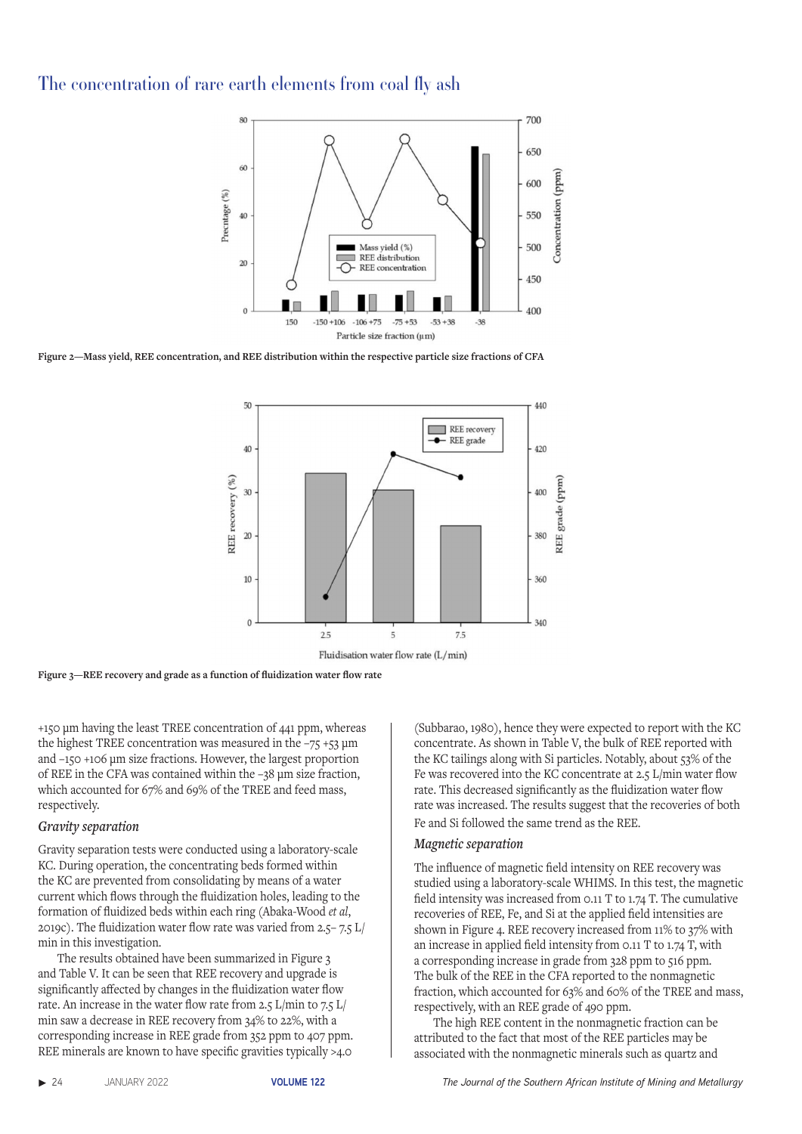

**Figure 2—Mass yield, REE concentration, and REE distribution within the respective particle size fractions of CFA**



**Figure 3—REE recovery and grade as a function of fluidization water flow rate**

+150 µm having the least TREE concentration of 441 ppm, whereas the highest TREE concentration was measured in the  $-75 +53 \mu m$ and –150 +106 µm size fractions. However, the largest proportion of REE in the CFA was contained within the –38 µm size fraction, which accounted for 67% and 69% of the TREE and feed mass, respectively.

#### *Gravity separation*

Gravity separation tests were conducted using a laboratory-scale KC. During operation, the concentrating beds formed within the KC are prevented from consolidating by means of a water current which flows through the fluidization holes, leading to the formation of fluidized beds within each ring (Abaka-Wood *et al*, 2019c). The fluidization water flow rate was varied from 2.5– 7.5 L/ min in this investigation.

The results obtained have been summarized in Figure 3 and Table V. It can be seen that REE recovery and upgrade is significantly affected by changes in the fluidization water flow rate. An increase in the water flow rate from 2.5 L/min to 7.5 L/ min saw a decrease in REE recovery from 34% to 22%, with a corresponding increase in REE grade from 352 ppm to 407 ppm. REE minerals are known to have specific gravities typically >4.0

(Subbarao, 1980), hence they were expected to report with the KC concentrate. As shown in Table V, the bulk of REE reported with the KC tailings along with Si particles. Notably, about 53% of the Fe was recovered into the KC concentrate at 2.5 L/min water flow rate. This decreased significantly as the fluidization water flow rate was increased. The results suggest that the recoveries of both Fe and Si followed the same trend as the REE.

#### *Magnetic separation*

The influence of magnetic field intensity on REE recovery was studied using a laboratory-scale WHIMS. In this test, the magnetic field intensity was increased from 0.11 T to 1.74 T. The cumulative recoveries of REE, Fe, and Si at the applied field intensities are shown in Figure 4. REE recovery increased from 11% to 37% with an increase in applied field intensity from 0.11 T to 1.74 T, with a corresponding increase in grade from 328 ppm to 516 ppm. The bulk of the REE in the CFA reported to the nonmagnetic fraction, which accounted for 63% and 60% of the TREE and mass, respectively, with an REE grade of 490 ppm.

The high REE content in the nonmagnetic fraction can be attributed to the fact that most of the REE particles may be associated with the nonmagnetic minerals such as quartz and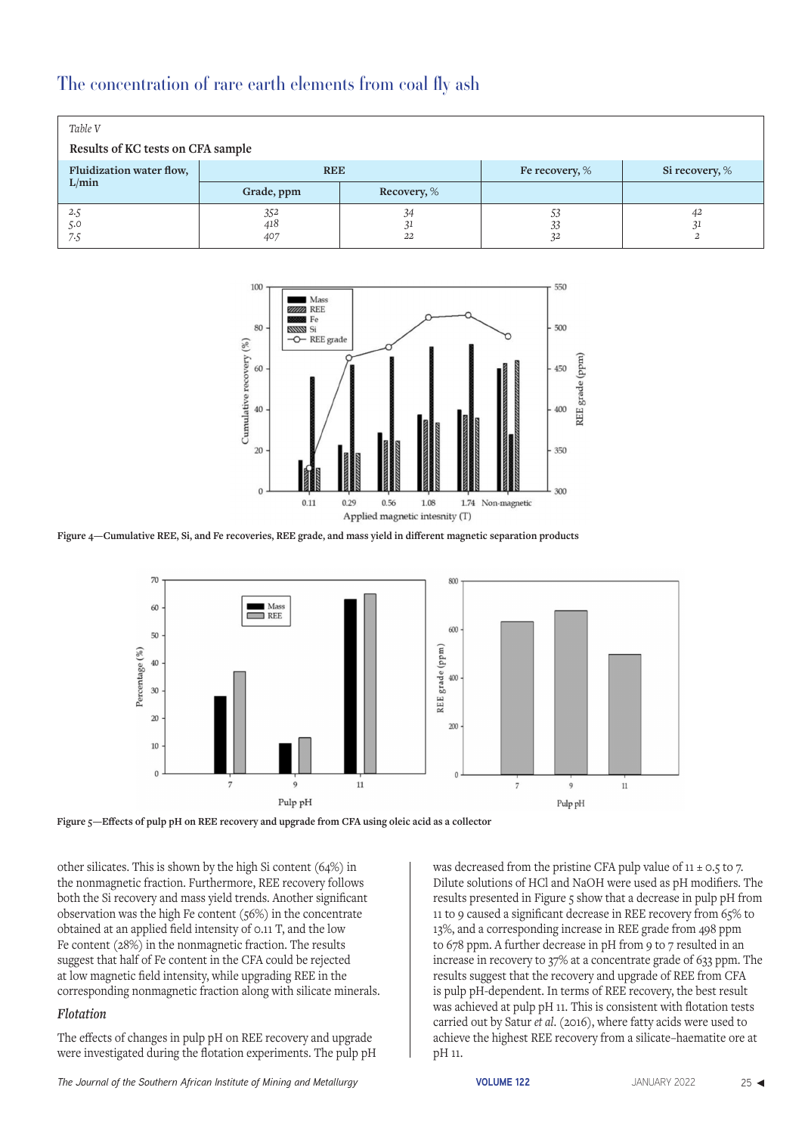| Table V<br>Results of KC tests on CFA sample |                   |                 |                |                |
|----------------------------------------------|-------------------|-----------------|----------------|----------------|
| Fluidization water flow,                     | <b>REE</b>        |                 | Fe recovery, % | Si recovery, % |
| L/min                                        | Grade, ppm        | Recovery, %     |                |                |
| 2.5<br>5.0<br>7.5                            | 352<br>418<br>407 | 34<br>-41<br>22 | 53<br>33<br>32 | 42             |



**Figure 4—Cumulative REE, Si, and Fe recoveries, REE grade, and mass yield in different magnetic separation products**



**Figure 5—Effects of pulp pH on REE recovery and upgrade from CFA using oleic acid as a collector**

other silicates. This is shown by the high Si content (64%) in the nonmagnetic fraction. Furthermore, REE recovery follows both the Si recovery and mass yield trends. Another significant observation was the high Fe content (56%) in the concentrate obtained at an applied field intensity of 0.11 T, and the low Fe content (28%) in the nonmagnetic fraction. The results suggest that half of Fe content in the CFA could be rejected at low magnetic field intensity, while upgrading REE in the corresponding nonmagnetic fraction along with silicate minerals.

# *Flotation*

The effects of changes in pulp pH on REE recovery and upgrade were investigated during the flotation experiments. The pulp pH was decreased from the pristine CFA pulp value of  $11 \pm 0.5$  to 7. Dilute solutions of HCl and NaOH were used as pH modifiers. The results presented in Figure 5 show that a decrease in pulp pH from 11 to 9 caused a significant decrease in REE recovery from 65% to 13%, and a corresponding increase in REE grade from 498 ppm to 678 ppm. A further decrease in pH from 9 to 7 resulted in an increase in recovery to 37% at a concentrate grade of 633 ppm. The results suggest that the recovery and upgrade of REE from CFA is pulp pH-dependent. In terms of REE recovery, the best result was achieved at pulp pH 11. This is consistent with flotation tests carried out by Satur *et al*. (2016), where fatty acids were used to achieve the highest REE recovery from a silicate–haematite ore at pH 11.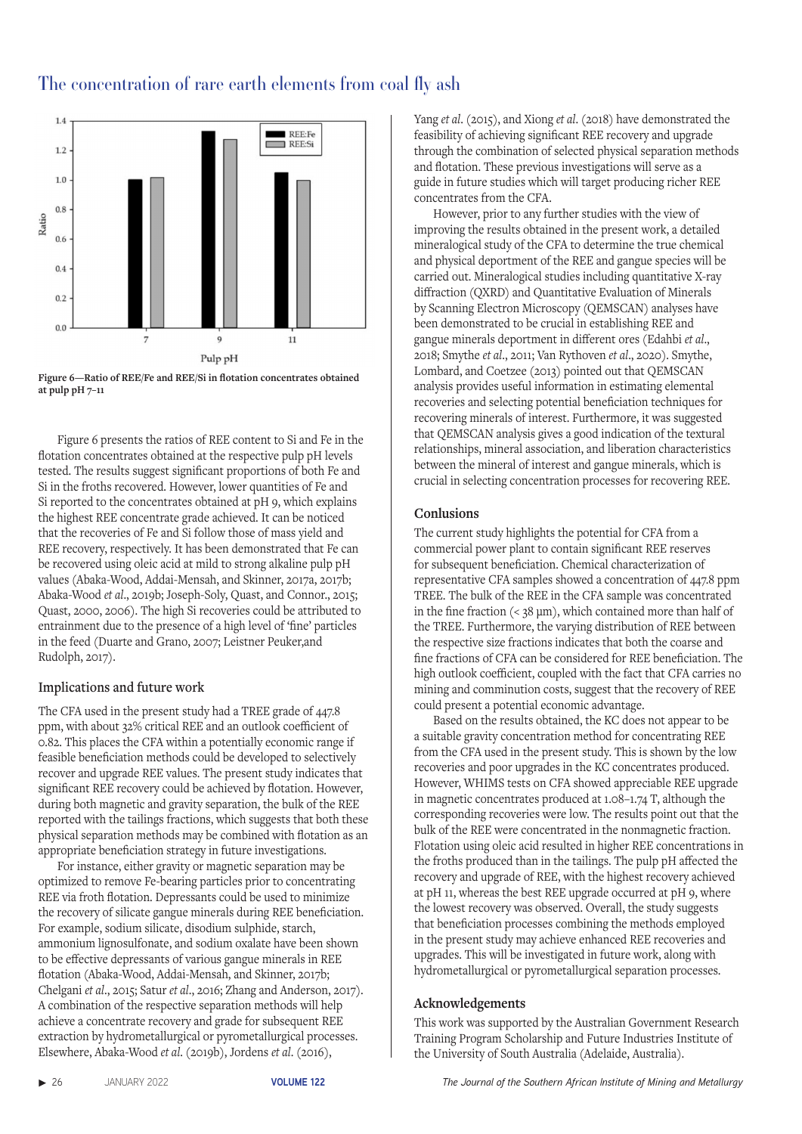





Figure 6 presents the ratios of REE content to Si and Fe in the flotation concentrates obtained at the respective pulp pH levels tested. The results suggest significant proportions of both Fe and Si in the froths recovered. However, lower quantities of Fe and Si reported to the concentrates obtained at pH 9, which explains the highest REE concentrate grade achieved. It can be noticed that the recoveries of Fe and Si follow those of mass yield and REE recovery, respectively. It has been demonstrated that Fe can be recovered using oleic acid at mild to strong alkaline pulp pH values (Abaka-Wood, Addai-Mensah, and Skinner, 2017a, 2017b; Abaka-Wood *et al*., 2019b; Joseph-Soly, Quast, and Connor., 2015; Quast, 2000, 2006). The high Si recoveries could be attributed to entrainment due to the presence of a high level of 'fine' particles in the feed (Duarte and Grano, 2007; Leistner Peuker,and Rudolph, 2017).

# **Implications and future work**

The CFA used in the present study had a TREE grade of 447.8 ppm, with about 32% critical REE and an outlook coefficient of 0.82. This places the CFA within a potentially economic range if feasible beneficiation methods could be developed to selectively recover and upgrade REE values. The present study indicates that significant REE recovery could be achieved by flotation. However, during both magnetic and gravity separation, the bulk of the REE reported with the tailings fractions, which suggests that both these physical separation methods may be combined with flotation as an appropriate beneficiation strategy in future investigations.

For instance, either gravity or magnetic separation may be optimized to remove Fe-bearing particles prior to concentrating REE via froth flotation. Depressants could be used to minimize the recovery of silicate gangue minerals during REE beneficiation. For example, sodium silicate, disodium sulphide, starch, ammonium lignosulfonate, and sodium oxalate have been shown to be effective depressants of various gangue minerals in REE flotation (Abaka-Wood, Addai-Mensah, and Skinner, 2017b; Chelgani *et al*., 2015; Satur *et al*., 2016; Zhang and Anderson, 2017). A combination of the respective separation methods will help achieve a concentrate recovery and grade for subsequent REE extraction by hydrometallurgical or pyrometallurgical processes. Elsewhere, Abaka-Wood *et al*. (2019b), Jordens *et al*. (2016),

Yang *et al*. (2015), and Xiong *et al*. (2018) have demonstrated the feasibility of achieving significant REE recovery and upgrade through the combination of selected physical separation methods and flotation. These previous investigations will serve as a guide in future studies which will target producing richer REE concentrates from the CFA.

However, prior to any further studies with the view of improving the results obtained in the present work, a detailed mineralogical study of the CFA to determine the true chemical and physical deportment of the REE and gangue species will be carried out. Mineralogical studies including quantitative X-ray diffraction (QXRD) and Quantitative Evaluation of Minerals by Scanning Electron Microscopy (QEMSCAN) analyses have been demonstrated to be crucial in establishing REE and gangue minerals deportment in different ores (Edahbi *et al*., 2018; Smythe *et al*., 2011; Van Rythoven *et al*., 2020). Smythe, Lombard, and Coetzee (2013) pointed out that QEMSCAN analysis provides useful information in estimating elemental recoveries and selecting potential beneficiation techniques for recovering minerals of interest. Furthermore, it was suggested that QEMSCAN analysis gives a good indication of the textural relationships, mineral association, and liberation characteristics between the mineral of interest and gangue minerals, which is crucial in selecting concentration processes for recovering REE.

# **Conlusions**

The current study highlights the potential for CFA from a commercial power plant to contain significant REE reserves for subsequent beneficiation. Chemical characterization of representative CFA samples showed a concentration of 447.8 ppm TREE. The bulk of the REE in the CFA sample was concentrated in the fine fraction  $\left($  < 38  $\mu$ m), which contained more than half of the TREE. Furthermore, the varying distribution of REE between the respective size fractions indicates that both the coarse and fine fractions of CFA can be considered for REE beneficiation. The high outlook coefficient, coupled with the fact that CFA carries no mining and comminution costs, suggest that the recovery of REE could present a potential economic advantage.

Based on the results obtained, the KC does not appear to be a suitable gravity concentration method for concentrating REE from the CFA used in the present study. This is shown by the low recoveries and poor upgrades in the KC concentrates produced. However, WHIMS tests on CFA showed appreciable REE upgrade in magnetic concentrates produced at 1.08–1.74 T, although the corresponding recoveries were low. The results point out that the bulk of the REE were concentrated in the nonmagnetic fraction. Flotation using oleic acid resulted in higher REE concentrations in the froths produced than in the tailings. The pulp pH affected the recovery and upgrade of REE, with the highest recovery achieved at pH 11, whereas the best REE upgrade occurred at pH 9, where the lowest recovery was observed. Overall, the study suggests that beneficiation processes combining the methods employed in the present study may achieve enhanced REE recoveries and upgrades. This will be investigated in future work, along with hydrometallurgical or pyrometallurgical separation processes.

# **Acknowledgements**

This work was supported by the Australian Government Research Training Program Scholarship and Future Industries Institute of the University of South Australia (Adelaide, Australia).